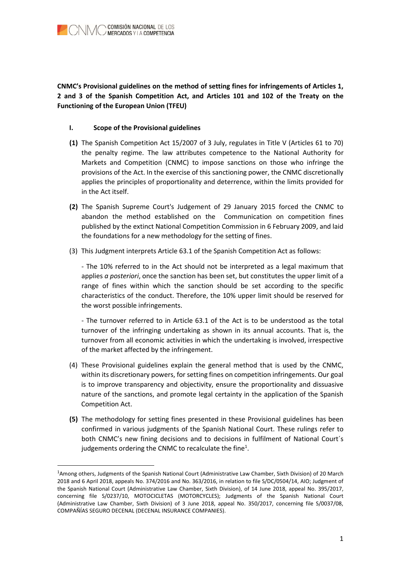

CNMC's Provisional guidelines on the method of setting fines for infringements of Articles 1, 2 and 3 of the Spanish Competition Act, and Articles 101 and 102 of the Treaty on the Functioning of the European Union (TFEU)

## I. Scope of the Provisional guidelines

-

- (1) The Spanish Competition Act 15/2007 of 3 July, regulates in Title V (Articles 61 to 70) the penalty regime. The law attributes competence to the National Authority for Markets and Competition (CNMC) to impose sanctions on those who infringe the provisions of the Act. In the exercise of this sanctioning power, the CNMC discretionally applies the principles of proportionality and deterrence, within the limits provided for in the Act itself.
- (2) The Spanish Supreme Court's Judgement of 29 January 2015 forced the CNMC to abandon the method established on the Communication on competition fines published by the extinct National Competition Commission in 6 February 2009, and laid the foundations for a new methodology for the setting of fines.
- (3) This Judgment interprets Article 63.1 of the Spanish Competition Act as follows:

- The 10% referred to in the Act should not be interpreted as a legal maximum that applies  $a$  posteriori, once the sanction has been set, but constitutes the upper limit of a range of fines within which the sanction should be set according to the specific characteristics of the conduct. Therefore, the 10% upper limit should be reserved for the worst possible infringements.

- The turnover referred to in Article 63.1 of the Act is to be understood as the total turnover of the infringing undertaking as shown in its annual accounts. That is, the turnover from all economic activities in which the undertaking is involved, irrespective of the market affected by the infringement.

- (4) These Provisional guidelines explain the general method that is used by the CNMC, within its discretionary powers, for setting fines on competition infringements. Our goal is to improve transparency and objectivity, ensure the proportionality and dissuasive nature of the sanctions, and promote legal certainty in the application of the Spanish Competition Act.
- (5) The methodology for setting fines presented in these Provisional guidelines has been confirmed in various judgments of the Spanish National Court. These rulings refer to both CNMC's new fining decisions and to decisions in fulfilment of National Court´s judgements ordering the CNMC to recalculate the fine<sup>1</sup>.

<sup>1</sup>Among others, Judgments of the Spanish National Court (Administrative Law Chamber, Sixth Division) of 20 March 2018 and 6 April 2018, appeals No. 374/2016 and No. 363/2016, in relation to file S/DC/0504/14, AIO; Judgment of the Spanish National Court (Administrative Law Chamber, Sixth Division), of 14 June 2018, appeal No. 395/2017, concerning file S/0237/10, MOTOCICLETAS (MOTORCYCLES); Judgments of the Spanish National Court (Administrative Law Chamber, Sixth Division) of 3 June 2018, appeal No. 350/2017, concerning file S/0037/08, COMPAÑÍAS SEGURO DECENAL (DECENAL INSURANCE COMPANIES).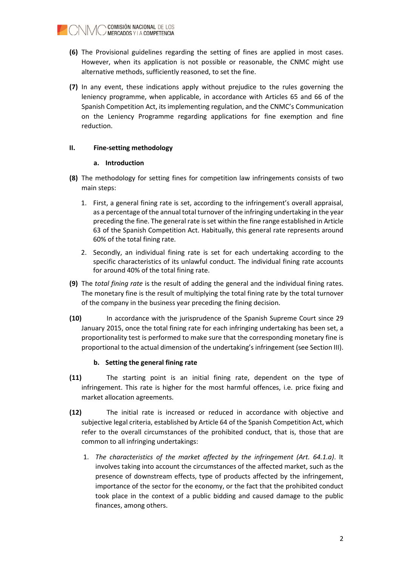

- (6) The Provisional guidelines regarding the setting of fines are applied in most cases. However, when its application is not possible or reasonable, the CNMC might use alternative methods, sufficiently reasoned, to set the fine.
- (7) In any event, these indications apply without prejudice to the rules governing the leniency programme, when applicable, in accordance with Articles 65 and 66 of the Spanish Competition Act, its implementing regulation, and the CNMC's Communication on the Leniency Programme regarding applications for fine exemption and fine reduction.

# II. Fine-setting methodology

## a. Introduction

- (8) The methodology for setting fines for competition law infringements consists of two main steps:
	- 1. First, a general fining rate is set, according to the infringement's overall appraisal, as a percentage of the annual total turnover of the infringing undertaking in the year preceding the fine. The general rate is set within the fine range established in Article 63 of the Spanish Competition Act. Habitually, this general rate represents around 60% of the total fining rate.
	- 2. Secondly, an individual fining rate is set for each undertaking according to the specific characteristics of its unlawful conduct. The individual fining rate accounts for around 40% of the total fining rate.
- (9) The total fining rate is the result of adding the general and the individual fining rates. The monetary fine is the result of multiplying the total fining rate by the total turnover of the company in the business year preceding the fining decision.
- (10) In accordance with the jurisprudence of the Spanish Supreme Court since 29 January 2015, once the total fining rate for each infringing undertaking has been set, a proportionality test is performed to make sure that the corresponding monetary fine is proportional to the actual dimension of the undertaking's infringement (see Section III).

## b. Setting the general fining rate

- (11) The starting point is an initial fining rate, dependent on the type of infringement. This rate is higher for the most harmful offences, i.e. price fixing and market allocation agreements.
- (12) The initial rate is increased or reduced in accordance with objective and subjective legal criteria, established by Article 64 of the Spanish Competition Act, which refer to the overall circumstances of the prohibited conduct, that is, those that are common to all infringing undertakings:
	- 1. The characteristics of the market affected by the infringement (Art. 64.1.a). It involves taking into account the circumstances of the affected market, such as the presence of downstream effects, type of products affected by the infringement, importance of the sector for the economy, or the fact that the prohibited conduct took place in the context of a public bidding and caused damage to the public finances, among others.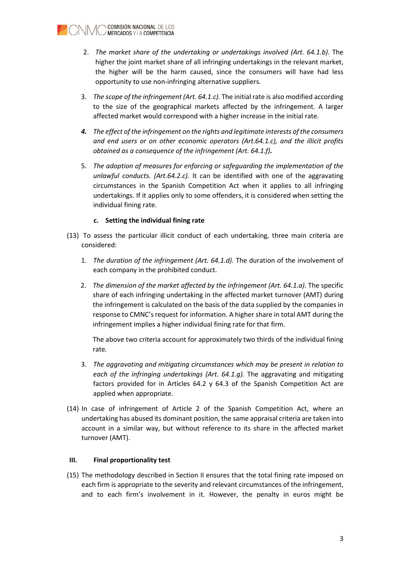

- 2. The market share of the undertaking or undertakings involved (Art. 64.1.b). The higher the joint market share of all infringing undertakings in the relevant market, the higher will be the harm caused, since the consumers will have had less opportunity to use non-infringing alternative suppliers.
- 3. The scope of the infringement (Art. 64.1.c). The initial rate is also modified according to the size of the geographical markets affected by the infringement. A larger affected market would correspond with a higher increase in the initial rate.
- 4. The effect of the infringement on the rights and legitimate interests of the consumers and end users or on other economic operators (Art.64.1.c), and the illicit profits obtained as a consequence of the infringement (Art. 64.1.f).
- 5. The adoption of measures for enforcing or safeguarding the implementation of the unlawful conducts. (Art.64.2.c). It can be identified with one of the aggravating circumstances in the Spanish Competition Act when it applies to all infringing undertakings. If it applies only to some offenders, it is considered when setting the individual fining rate.

## c. Setting the individual fining rate

- (13) To assess the particular illicit conduct of each undertaking, three main criteria are considered:
	- 1. The duration of the infringement (Art. 64.1.d). The duration of the involvement of each company in the prohibited conduct.
	- 2. The dimension of the market affected by the infringement (Art. 64.1.a). The specific share of each infringing undertaking in the affected market turnover (AMT) during the infringement is calculated on the basis of the data supplied by the companies in response to CMNC's request for information. A higher share in total AMT during the infringement implies a higher individual fining rate for that firm.

The above two criteria account for approximately two thirds of the individual fining rate.

- 3. The aggravating and mitigating circumstances which may be present in relation to each of the infringing undertakings (Art. 64.1.g). The aggravating and mitigating factors provided for in Articles 64.2 y 64.3 of the Spanish Competition Act are applied when appropriate.
- (14) In case of infringement of Article 2 of the Spanish Competition Act, where an undertaking has abused its dominant position, the same appraisal criteria are taken into account in a similar way, but without reference to its share in the affected market turnover (AMT).

## III. Final proportionality test

(15) The methodology described in Section II ensures that the total fining rate imposed on each firm is appropriate to the severity and relevant circumstances of the infringement, and to each firm's involvement in it. However, the penalty in euros might be